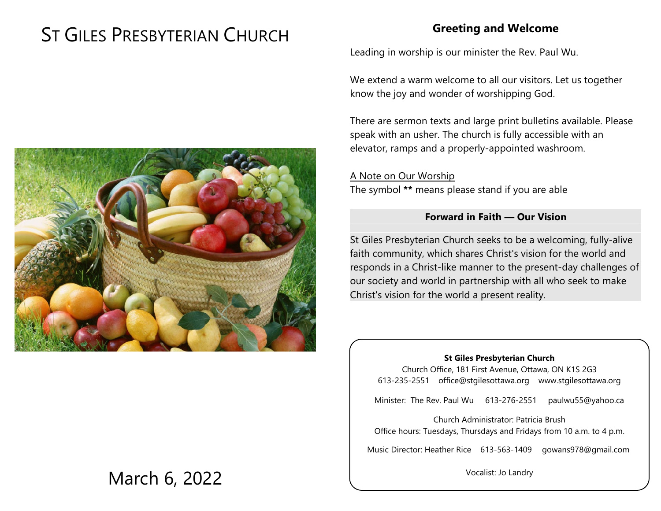# ST GILES PRESBYTERIAN CHURCH

# **Greeting and Welcome**

Leading in worship is our minister the Rev. Paul Wu.

We extend a warm welcome to all our visitors. Let us together know the joy and wonder of worshipping God.

There are sermon texts and large print bulletins available. Please speak with an usher. The church is fully accessible with an elevator, ramps and a properly-appointed washroom.

A Note on Our Worship The symbol **\*\*** means please stand if you are able

## **Forward in Faith — Our Vision**

St Giles Presbyterian Church seeks to be a welcoming, fully-alive faith community, which shares Christ's vision for the world and responds in a Christ-like manner to the present-day challenges of our society and world in partnership with all who seek to make Christ's vision for the world a present reality.

#### **St Giles Presbyterian Church**

Church Office, 181 First Avenue, Ottawa, ON K1S 2G3 613-235-2551 office@stgilesottawa.org www.stgilesottawa.org

Minister: The Rev. Paul Wu 613-276-2551 paulwu55@yahoo.ca

Church Administrator: Patricia Brush Office hours: Tuesdays, Thursdays and Fridays from 10 a.m. to 4 p.m.

Music Director: Heather Rice 613-563-1409 gowans978@gmail.com

Vocalist: Jo Landry



# March 6, 2022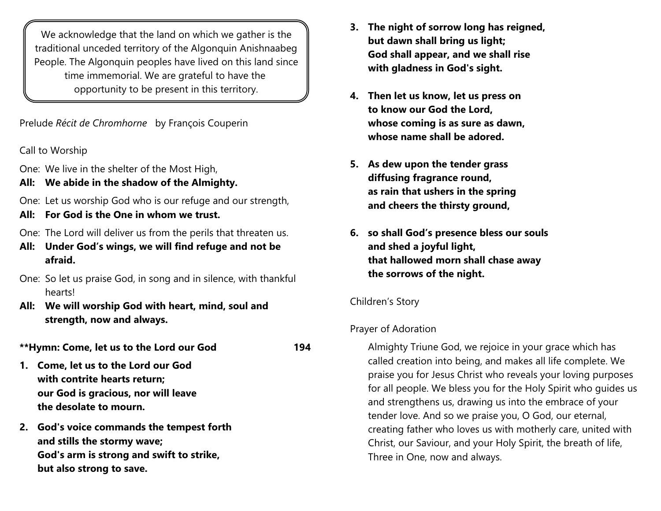We acknowledge that the land on which we gather is the traditional unceded territory of the Algonquin Anishnaabeg People. The Algonquin peoples have lived on this land since time immemorial. We are grateful to have the opportunity to be present in this territory.

Prelude *Récit de Chromhorne* by François Couperin

Call to Worship

One: We live in the shelter of the Most High,

**All: We abide in the shadow of the Almighty.**

One: Let us worship God who is our refuge and our strength,

- **All: For God is the One in whom we trust.**
- One: The Lord will deliver us from the perils that threaten us.
- **All: Under God's wings, we will find refuge and not be afraid.**
- One: So let us praise God, in song and in silence, with thankful hearts!
- **All: We will worship God with heart, mind, soul and strength, now and always.**

**\*\*Hymn: Come, let us to the Lord our God 194**

- **1. Come, let us to the Lord our God with contrite hearts return; our God is gracious, nor will leave the desolate to mourn.**
- **2. God's voice commands the tempest forth and stills the stormy wave; God's arm is strong and swift to strike, but also strong to save.**
- **3. The night of sorrow long has reigned, but dawn shall bring us light; God shall appear, and we shall rise with gladness in God's sight.**
- **4. Then let us know, let us press on to know our God the Lord, whose coming is as sure as dawn, whose name shall be adored.**
- **5. As dew upon the tender grass diffusing fragrance round, as rain that ushers in the spring and cheers the thirsty ground,**
- **6. so shall God's presence bless our souls and shed a joyful light, that hallowed morn shall chase away the sorrows of the night.**

Children's Story

# Prayer of Adoration

Almighty Triune God, we rejoice in your grace which has called creation into being, and makes all life complete. We praise you for Jesus Christ who reveals your loving purposes for all people. We bless you for the Holy Spirit who guides us and strengthens us, drawing us into the embrace of your tender love. And so we praise you, O God, our eternal, creating father who loves us with motherly care, united with Christ, our Saviour, and your Holy Spirit, the breath of life, Three in One, now and always.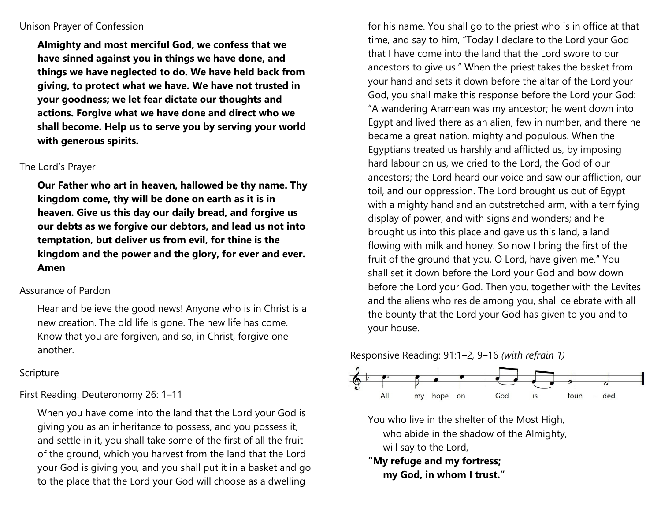### Unison Prayer of Confession

**Almighty and most merciful God, we confess that we have sinned against you in things we have done, and things we have neglected to do. We have held back from giving, to protect what we have. We have not trusted in your goodness; we let fear dictate our thoughts and actions. Forgive what we have done and direct who we shall become. Help us to serve you by serving your world with generous spirits.**

### The Lord's Prayer

**Our Father who art in heaven, hallowed be thy name. Thy kingdom come, thy will be done on earth as it is in heaven. Give us this day our daily bread, and forgive us our debts as we forgive our debtors, and lead us not into temptation, but deliver us from evil, for thine is the kingdom and the power and the glory, for ever and ever. Amen**

#### Assurance of Pardon

Hear and believe the good news! Anyone who is in Christ is a new creation. The old life is gone. The new life has come. Know that you are forgiven, and so, in Christ, forgive one another.

#### Scripture

First Reading: Deuteronomy 26: 1–11

When you have come into the land that the Lord your God is giving you as an inheritance to possess, and you possess it, and settle in it, you shall take some of the first of all the fruit of the ground, which you harvest from the land that the Lord your God is giving you, and you shall put it in a basket and go to the place that the Lord your God will choose as a dwelling

for his name. You shall go to the priest who is in office at that time, and say to him, "Today I declare to the Lord your God that I have come into the land that the Lord swore to our ancestors to give us." When the priest takes the basket from your hand and sets it down before the altar of the Lord your God, you shall make this response before the Lord your God: "A wandering Aramean was my ancestor; he went down into Egypt and lived there as an alien, few in number, and there he became a great nation, mighty and populous. When the Egyptians treated us harshly and afflicted us, by imposing hard labour on us, we cried to the Lord, the God of our ancestors; the Lord heard our voice and saw our affliction, our toil, and our oppression. The Lord brought us out of Egypt with a mighty hand and an outstretched arm, with a terrifying display of power, and with signs and wonders; and he brought us into this place and gave us this land, a land flowing with milk and honey. So now I bring the first of the fruit of the ground that you, O Lord, have given me." You shall set it down before the Lord your God and bow down before the Lord your God. Then you, together with the Levites and the aliens who reside among you, shall celebrate with all the bounty that the Lord your God has given to you and to your house.

#### Responsive Reading: 91:1–2, 9–16 *(with refrain 1)*



You who live in the shelter of the Most High, who abide in the shadow of the Almighty, will say to the Lord, **"My refuge and my fortress; my God, in whom I trust."**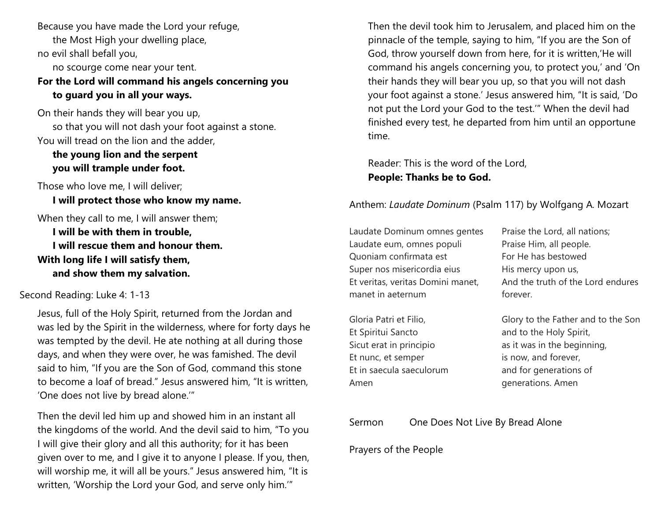Because you have made the Lord your refuge, the Most High your dwelling place, no evil shall befall you, no scourge come near your tent.

## **For the Lord will command his angels concerning you to guard you in all your ways.**

On their hands they will bear you up, so that you will not dash your foot against a stone. You will tread on the lion and the adder,

## **the young lion and the serpent you will trample under foot.**

Those who love me, I will deliver;

#### **I will protect those who know my name.**

When they call to me, I will answer them; **I will be with them in trouble, I will rescue them and honour them. With long life I will satisfy them, and show them my salvation.**

## Second Reading: Luke 4: 1-13

Jesus, full of the Holy Spirit, returned from the Jordan and was led by the Spirit in the wilderness, where for forty days he was tempted by the devil. He ate nothing at all during those days, and when they were over, he was famished. The devil said to him, "If you are the Son of God, command this stone to become a loaf of bread." Jesus answered him, "It is written, 'One does not live by bread alone.'"

Then the devil led him up and showed him in an instant all the kingdoms of the world. And the devil said to him, "To you I will give their glory and all this authority; for it has been given over to me, and I give it to anyone I please. If you, then, will worship me, it will all be yours." Jesus answered him, "It is written, 'Worship the Lord your God, and serve only him.'"

Then the devil took him to Jerusalem, and placed him on the pinnacle of the temple, saying to him, "If you are the Son of God, throw yourself down from here, for it is written,'He will command his angels concerning you, to protect you,' and 'On their hands they will bear you up, so that you will not dash your foot against a stone.' Jesus answered him, "It is said, 'Do not put the Lord your God to the test.'" When the devil had finished every test, he departed from him until an opportune time.

## Reader: This is the word of the Lord, **People: Thanks be to God.**

## Anthem: *Laudate Dominum* (Psalm 117) by Wolfgang A. Mozart

Laudate Dominum omnes gentes Laudate eum, omnes populi Quoniam confirmata est Super nos misericordia eius Et veritas, veritas Domini manet, manet in aeternum

Gloria Patri et Filio, Et Spiritui Sancto Sicut erat in principio Et nunc, et semper Et in saecula saeculorum Amen

Praise the Lord, all nations; Praise Him, all people. For He has bestowed His mercy upon us, And the truth of the Lord endures forever.

Glory to the Father and to the Son and to the Holy Spirit, as it was in the beginning, is now, and forever, and for generations of generations. Amen

#### Sermon One Does Not Live By Bread Alone

## Prayers of the People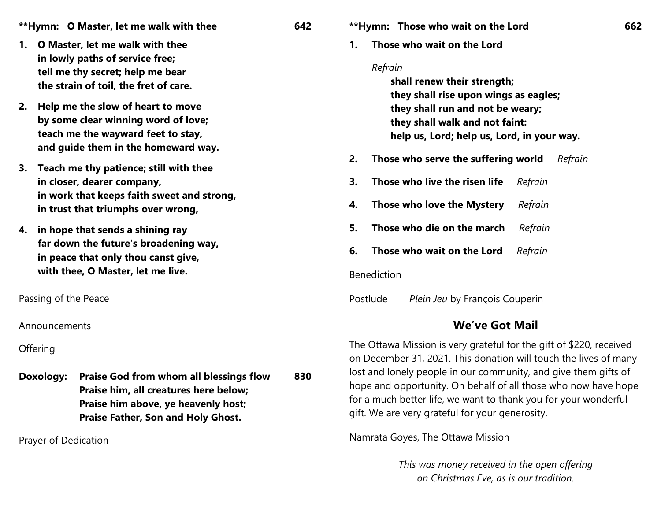- **1. O Master, let me walk with thee in lowly paths of service free; tell me thy secret; help me bear the strain of toil, the fret of care.**
- **2. Help me the slow of heart to move by some clear winning word of love; teach me the wayward feet to stay, and guide them in the homeward way.**
- **3. Teach me thy patience; still with thee in closer, dearer company, in work that keeps faith sweet and strong, in trust that triumphs over wrong,**
- **4. in hope that sends a shining ray far down the future's broadening way, in peace that only thou canst give, with thee, O Master, let me live.**

Passing of the Peace

Announcements

**Offering** 

**Doxology: Praise God from whom all blessings flow 830 Praise him, all creatures here below; Praise him above, ye heavenly host; Praise Father, Son and Holy Ghost.**

Prayer of Dedication

- **\*\*Hymn: Those who wait on the Lord 662**
- **1. Those who wait on the Lord**

#### *Refrain*

**shall renew their strength; they shall rise upon wings as eagles; they shall run and not be weary; they shall walk and not faint: help us, Lord; help us, Lord, in your way.**

- **2. Those who serve the suffering world** *Refrain*
- **3. Those who live the risen life** *Refrain*
- **4. Those who love the Mystery** *Refrain*
- **5. Those who die on the march** *Refrain*
- **6. Those who wait on the Lord** *Refrain*

Benediction

Postlude *Plein Jeu* by François Couperin

# **We've Got Mail**

The Ottawa Mission is very grateful for the gift of \$220, received on December 31, 2021. This donation will touch the lives of many lost and lonely people in our community, and give them gifts of hope and opportunity. On behalf of all those who now have hope for a much better life, we want to thank you for your wonderful gift. We are very grateful for your generosity.

Namrata Goyes, The Ottawa Mission

*This was money received in the open offering on Christmas Eve, as is our tradition.*